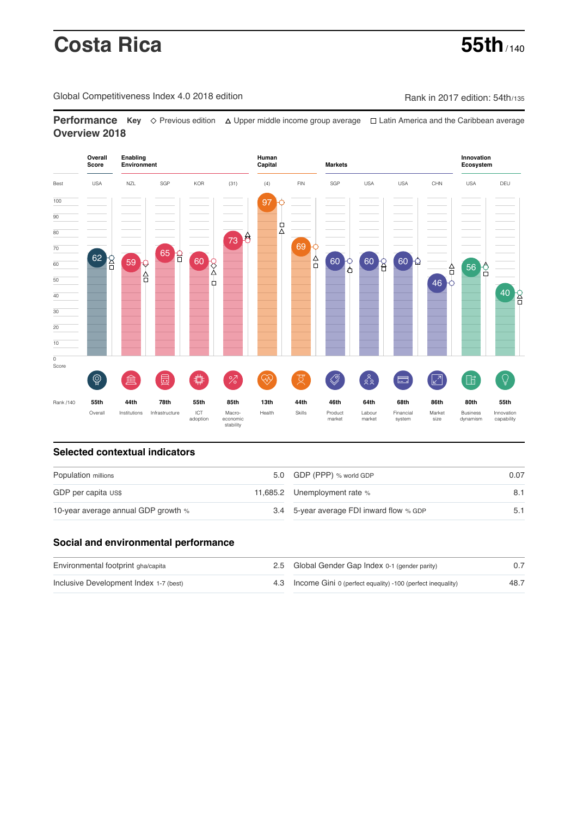# **Costa Rica 55th** / 140

Global Competitiveness Index 4.0 2018 edition Company Rank in 2017 edition: 54th/135

**Performance** Key ◇ Previous edition △ Upper middle income group average □ Latin America and the Caribbean average **Overview 2018**



# **Selected contextual indicators**

| Population millions                 |  | 5.0 GDP (PPP) % world GDP                | 0.07 |  |
|-------------------------------------|--|------------------------------------------|------|--|
| GDP per capita US\$                 |  | 11,685.2 Unemployment rate %             |      |  |
| 10-year average annual GDP growth % |  | 3.4 5-year average FDI inward flow % GDP |      |  |

# **Social and environmental performance**

| Environmental footprint gha/capita     | 2.5 Global Gender Gap Index 0-1 (gender parity)                |      |
|----------------------------------------|----------------------------------------------------------------|------|
| Inclusive Development Index 1-7 (best) | 4.3 Income Gini 0 (perfect equality) -100 (perfect inequality) | 48.7 |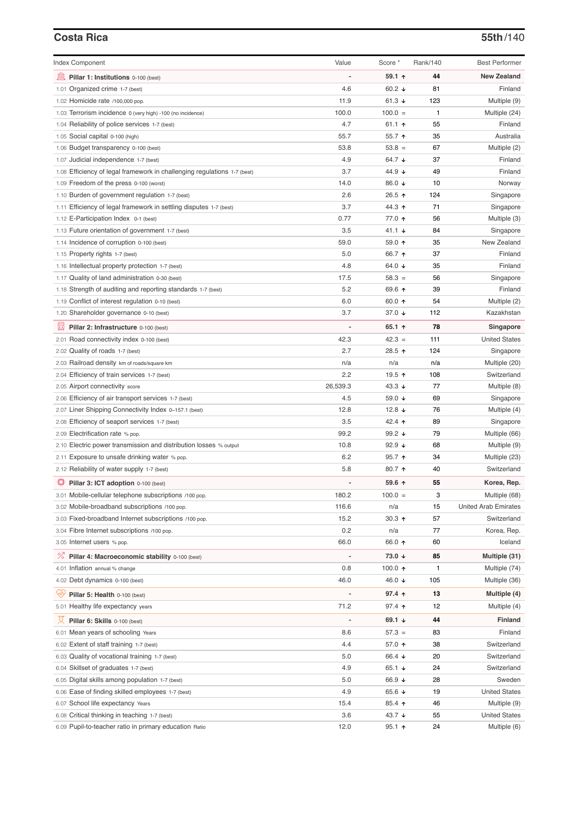# **Costa Rica 55th**/140

| <b>Index Component</b>                                                         | Value      | Score *            | Rank/140 | <b>Best Performer</b>        |
|--------------------------------------------------------------------------------|------------|--------------------|----------|------------------------------|
| 寙<br>Pillar 1: Institutions 0-100 (best)                                       |            | 59.1 ↑             | 44       | <b>New Zealand</b>           |
| 1.01 Organized crime 1-7 (best)                                                | 4.6        | 60.2 $\sqrt{ }$    | 81       | Finland                      |
| 1.02 Homicide rate /100,000 pop.                                               | 11.9       | 61.3 $\sqrt{ }$    | 123      | Multiple (9)                 |
| 1.03 Terrorism incidence 0 (very high) -100 (no incidence)                     | 100.0      | $100.0 =$          | 1        | Multiple (24)                |
| 1.04 Reliability of police services 1-7 (best)                                 | 4.7        | 61.1 $\uparrow$    | 55       | Finland                      |
| 1.05 Social capital 0-100 (high)                                               | 55.7       | 55.7 个             | 35       | Australia                    |
| 1.06 Budget transparency 0-100 (best)                                          | 53.8       | $53.8 =$           | 67       | Multiple (2)                 |
| 1.07 Judicial independence 1-7 (best)                                          | 4.9        | 64.7 ↓             | 37       | Finland                      |
| 1.08 Efficiency of legal framework in challenging regulations 1-7 (best)       | 3.7        | 44.9 ↓             | 49       | Finland                      |
| 1.09 Freedom of the press 0-100 (worst)                                        | 14.0       | 86.0 ↓             | 10       | Norway                       |
| 1.10 Burden of government regulation 1-7 (best)                                | 2.6        | 26.5 ↑             | 124      | Singapore                    |
| 1.11 Efficiency of legal framework in settling disputes 1-7 (best)             | 3.7        | 44.3 ↑             | 71       | Singapore                    |
| 1.12 E-Participation Index 0-1 (best)                                          | 0.77       | 77.0 ተ             | 56       | Multiple (3)                 |
| 1.13 Future orientation of government 1-7 (best)                               | 3.5        | 41.1 ↓             | 84       | Singapore                    |
| 1.14 Incidence of corruption 0-100 (best)                                      | 59.0       | 59.0 ↑             | 35       | New Zealand                  |
| 1.15 Property rights 1-7 (best)                                                | 5.0        | 66.7 ↑             | 37       | Finland                      |
| 1.16 Intellectual property protection 1-7 (best)                               | 4.8        | 64.0 ↓             | 35       | Finland                      |
| 1.17 Quality of land administration 0-30 (best)                                | 17.5       | $58.3 =$           | 56       | Singapore                    |
| 1.18 Strength of auditing and reporting standards 1-7 (best)                   | 5.2        | 69.6 ↑             | 39       | Finland                      |
| 1.19 Conflict of interest regulation 0-10 (best)                               | 6.0        | 60.0 ↑             | 54       | Multiple (2)                 |
| 1.20 Shareholder governance 0-10 (best)                                        | 3.7        | 37.0 ↓             | 112      | Kazakhstan                   |
| 曼<br>Pillar 2: Infrastructure 0-100 (best)                                     | ÷,         | 65.1 ↑             | 78       | Singapore                    |
| 2.01 Road connectivity index 0-100 (best)                                      | 42.3       | $42.3 =$           | 111      | <b>United States</b>         |
| 2.02 Quality of roads 1-7 (best)                                               | 2.7        | 28.5 ↑             | 124      | Singapore                    |
|                                                                                | n/a        | n/a                | n/a      |                              |
| 2.03 Railroad density km of roads/square km                                    | 2.2        | 19.5 个             | 108      | Multiple (20)<br>Switzerland |
| 2.04 Efficiency of train services 1-7 (best)                                   |            |                    |          |                              |
| 2.05 Airport connectivity score                                                | 26,539.3   | 43.3 $\sqrt{ }$    | 77       | Multiple (8)                 |
| 2.06 Efficiency of air transport services 1-7 (best)                           | 4.5        | 59.0 ↓             | 69       | Singapore                    |
| 2.07 Liner Shipping Connectivity Index 0-157.1 (best)                          | 12.8       | 12.8 $\sqrt{ }$    | 76       | Multiple (4)                 |
| 2.08 Efficiency of seaport services 1-7 (best)                                 | 3.5        | 42.4 ተ             | 89       | Singapore                    |
| 2.09 Electrification rate % pop.                                               | 99.2       | 99.2 $\sqrt{ }$    | 79       | Multiple (66)                |
| 2.10 Electric power transmission and distribution losses % output              | 10.8       | $92.9 +$           | 68       | Multiple (9)                 |
| 2.11 Exposure to unsafe drinking water % pop.                                  | 6.2        | $95.7$ ↑           | 34       | Multiple (23)                |
| 2.12 Reliability of water supply 1-7 (best)                                    | 5.8        | 80.7 ተ             | 40       | Switzerland                  |
| ₩<br>Pillar 3: ICT adoption 0-100 (best)                                       |            | 59.6 ↑             | 55       | Korea, Rep.                  |
| 3.01 Mobile-cellular telephone subscriptions /100 pop.                         | 180.2      | $100.0 =$          | 3        | Multiple (68)                |
| 3.02 Mobile-broadband subscriptions /100 pop.                                  | 116.6      | n/a                | 15       | <b>United Arab Emirates</b>  |
| 3.03 Fixed-broadband Internet subscriptions /100 pop.                          | 15.2       | $30.3$ ↑           | 57       | Switzerland                  |
| 3.04 Fibre Internet subscriptions /100 pop.                                    | 0.2        | n/a                | 77       | Korea, Rep.                  |
| 3.05 Internet users % pop.                                                     | 66.0       | 66.0 ↑             | 60       | Iceland                      |
| <sup>%</sup> Pillar 4: Macroeconomic stability 0-100 (best)                    |            | 73.0 ↓             | 85       | Multiple (31)                |
| 4.01 Inflation annual % change                                                 | 0.8        | 100.0 $\uparrow$   | 1        | Multiple (74)                |
| 4.02 Debt dynamics 0-100 (best)                                                | 46.0       | 46.0 ↓             | 105      | Multiple (36)                |
| Ģy<br>Pillar 5: Health 0-100 (best)                                            |            | 97.4 $\uparrow$    | 13       | Multiple (4)                 |
| 5.01 Healthy life expectancy years                                             | 71.2       | 97.4 ተ             | 12       | Multiple (4)                 |
| Pillar 6: Skills 0-100 (best)                                                  |            | 69.1 $\sqrt{ }$    | 44       | <b>Finland</b>               |
|                                                                                |            |                    |          |                              |
| 6.01 Mean years of schooling Years<br>6.02 Extent of staff training 1-7 (best) | 8.6<br>4.4 | $57.3 =$<br>57.0 ↑ | 83<br>38 | Finland<br>Switzerland       |
|                                                                                | 5.0        | 66.4 ↓             | 20       | Switzerland                  |
| 6.03 Quality of vocational training 1-7 (best)                                 |            |                    |          |                              |
| 6.04 Skillset of graduates 1-7 (best)                                          | 4.9        | 65.1 ↓             | 24       | Switzerland                  |
| 6.05 Digital skills among population 1-7 (best)                                | 5.0        | 66.9 ↓             | 28       | Sweden                       |
| 6.06 Ease of finding skilled employees 1-7 (best)                              | 4.9        | 65.6 ↓             | 19       | <b>United States</b>         |
| 6.07 School life expectancy Years                                              | 15.4       | 85.4 个             | 46       | Multiple (9)                 |
| 6.08 Critical thinking in teaching 1-7 (best)                                  | 3.6        | 43.7 ↓             | 55       | <b>United States</b>         |
| 6.09 Pupil-to-teacher ratio in primary education Ratio                         | 12.0       | $95.1$ ↑           | 24       | Multiple (6)                 |